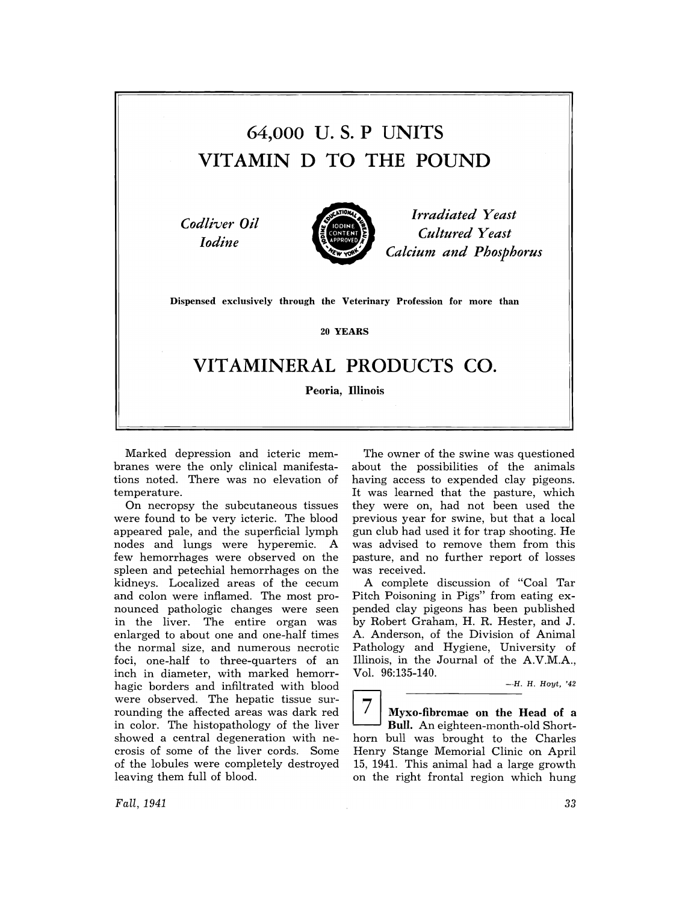# 64,000 U. S. P UNITS VITAMIN D TO THE POUND

*Codliver Oil Iodine* 



*Irradiated Yeast Cultured Yeast Calcium and Phosphorus* 

Dispensed exclusively through the Veterinary Profession for more than

20 YEARS

## VITAMINERAL PRODUCTS CO.

Peoria, Illinois

Marked depression and icteric membranes were the only clinical manifestations noted. There was no elevation of temperature.

On necropsy the subcutaneous tissues were found to be very icteric. The blood appeared pale, and the superficial lymph nodes and lungs were hyperemic. A few hemorrhages were observed on the spleen and petechial hemorrhages on the kidneys. Localized areas of the cecum and colon were inflamed. The most pronounced pathologic changes were seen in the liver. The entire organ was enlarged to about one and one-half times the normal size, and numerous necrotic foci, one-half to three-quarters of an inch in diameter, with marked hemorrhagic borders and infiltrated with blood were observed. The hepatic tissue surrounding the affected areas was dark red in color. The histopathology of the liver showed a central degeneration with necrosis of some of the liver cords. Some of the lobules were completely destroyed leaving them full of blood.

The owner of the swine was questioned about the possibilities of the animals having access to expended clay pigeons. It was learned that the pasture, which they were on, had not been used the previous year for swine, but that a local gun club had used it for trap shooting. He was advised to remove them from this pasture, and no further report of losses was received.

A complete discussion of "Coal Tar Pitch Poisoning in Pigs" from eating expended clay pigeons has been published by Robert Graham, H. R. Hester, and J. A. Anderson, of the Division of Animal Pathology and Hygiene, University of Illinois, in the Journal of the A.V.M.A., Vol. 96:135-140.

 $\overline{7}$  Myxo-fibromae on the Head of a Bull. An eighteen-month-old Shorthorn bull was brought to the Charles Henry Stange Memorial Clinic on April 15, 1941. This animal had a large growth on the right frontal region which hung

*Fall, 1941*